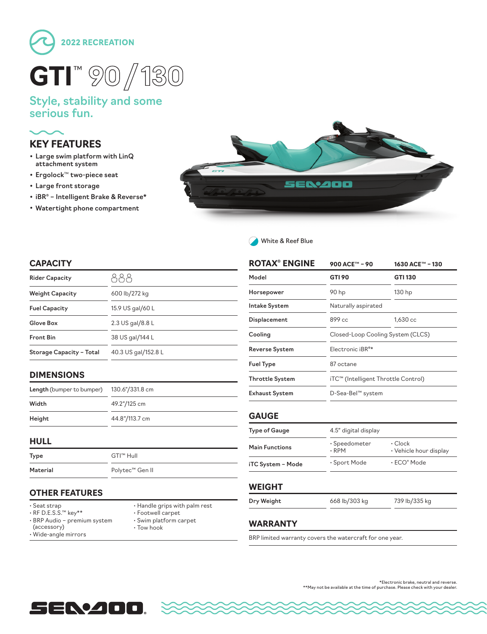

### Style, stability and some serious fun.

# **KEY FEATURES**

- Large swim platform with LinQ attachment system
- Ergolock™ two-piece seat
- Large front storage
- iBR® Intelligent Brake & Reverse\*
- Watertight phone compartment





#### **CAPACITY**

| <b>Rider Capacity</b>    |                     |
|--------------------------|---------------------|
| <b>Weight Capacity</b>   | 600 lb/272 kg       |
| <b>Fuel Capacity</b>     | 15.9 US gal/60 L    |
| Glove Box                | 2.3 US gal/8.8 L    |
| <b>Front Bin</b>         | 38 US gal/144 L     |
| Storage Capacity - Total | 40.3 US gal/152.8 L |

#### **DIMENSIONS**

| <b>Length (bumper to bumper)</b> | 130.6"/331.8 cm |
|----------------------------------|-----------------|
| Width                            | 49.2"/125 cm    |
| Height                           | 44.8"/113.7 cm  |

#### **HULL**

| Type     | GTI™ Hull                   |
|----------|-----------------------------|
| Material | Polytec <sup>™</sup> Gen II |

#### **OTHER FEATURES**

- Seat strap
- RF D.E.S.S.™ key\*\*
- BRP Audio premium system
- (accessory)
- Handle grips with palm rest
- Footwell carpet
- 
- Wide-angle mirrors
- Swim platform carpet • Tow hook

| <b>ROTAX<sup>®</sup> ENGINE</b> | 900 ACE™ - 90                       | 1630 ACE™ - 130 |  |
|---------------------------------|-------------------------------------|-----------------|--|
| Model                           | <b>GTI 90</b>                       | GTI 130         |  |
| Horsepower                      | 90 hp                               | 130 hp          |  |
| <b>Intake System</b>            | Naturally aspirated                 |                 |  |
| Displacement                    | 899 cc                              | 1,630 cc        |  |
| Cooling                         | Closed-Loop Cooling System (CLCS)   |                 |  |
| <b>Reverse System</b>           | Electronic iBR <sup>®*</sup>        |                 |  |
| <b>Fuel Type</b>                | 87 octane                           |                 |  |
| <b>Throttle System</b>          | iTC™ (Intelligent Throttle Control) |                 |  |
| <b>Exhaust System</b>           | D-Sea-Bel™ system                   |                 |  |

| <b>Type of Gauge</b>  | 4.5" digital display         |                                         |
|-----------------------|------------------------------|-----------------------------------------|
| <b>Main Functions</b> | · Speedometer<br>$\cdot$ RPM | $\cdot$ Clock<br>• Vehicle hour display |
| iTC System - Mode     | • Sport Mode                 | $\cdot$ ECO $^\circ$ Mode               |

#### **WEIGHT**

**Dry Weight** 668 lb/303 kg 739 lb/335 kg

### **WARRANTY**

BRP limited warranty covers the watercraft for one year.



\*Electronic brake, neutral and reverse. \*\*May not be available at the time of purchase. Please check with your dealer.